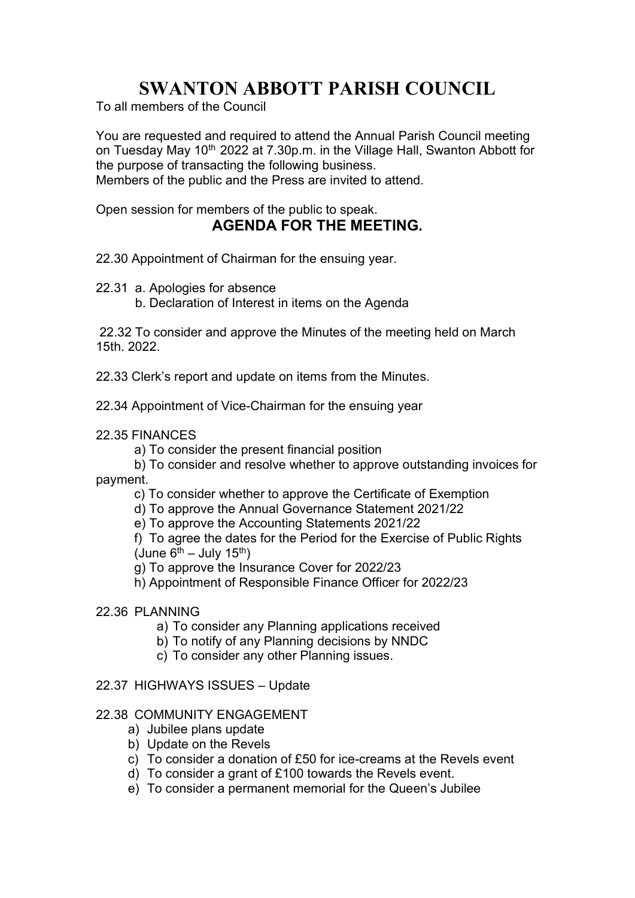# SWANTON ABBOTT PARISH COUNCIL

To all members of the Council

You are requested and required to attend the Annual Parish Council meeting on Tuesday May 10<sup>th</sup> 2022 at 7.30p.m. in the Village Hall, Swanton Abbott for the purpose of transacting the following business. Members of the public and the Press are invited to attend.

Open session for members of the public to speak.

## AGENDA FOR THE MEETING.

- 22.30 Appointment of Chairman for the ensuing year.
- 22.31 a. Apologies for absence
	- b. Declaration of Interest in items on the Agenda

 22.32 To consider and approve the Minutes of the meeting held on March 15th. 2022.

22.33 Clerk's report and update on items from the Minutes.

22.34 Appointment of Vice-Chairman for the ensuing year

- 22.35 FINANCES
	- a) To consider the present financial position

b) To consider and resolve whether to approve outstanding invoices for payment.

- c) To consider whether to approve the Certificate of Exemption
- d) To approve the Annual Governance Statement 2021/22
- e) To approve the Accounting Statements 2021/22

f) To agree the dates for the Period for the Exercise of Public Rights (June  $6^{th}$  – July 15<sup>th</sup>)

g) To approve the Insurance Cover for 2022/23

h) Appointment of Responsible Finance Officer for 2022/23

## 22.36 PLANNING

- a) To consider any Planning applications received
- b) To notify of any Planning decisions by NNDC
- c) To consider any other Planning issues.

### 22.37 HIGHWAYS ISSUES – Update

### 22.38 COMMUNITY ENGAGEMENT

- a) Jubilee plans update
- b) Update on the Revels
- c) To consider a donation of £50 for ice-creams at the Revels event
- d) To consider a grant of £100 towards the Revels event.
- e) To consider a permanent memorial for the Queen's Jubilee